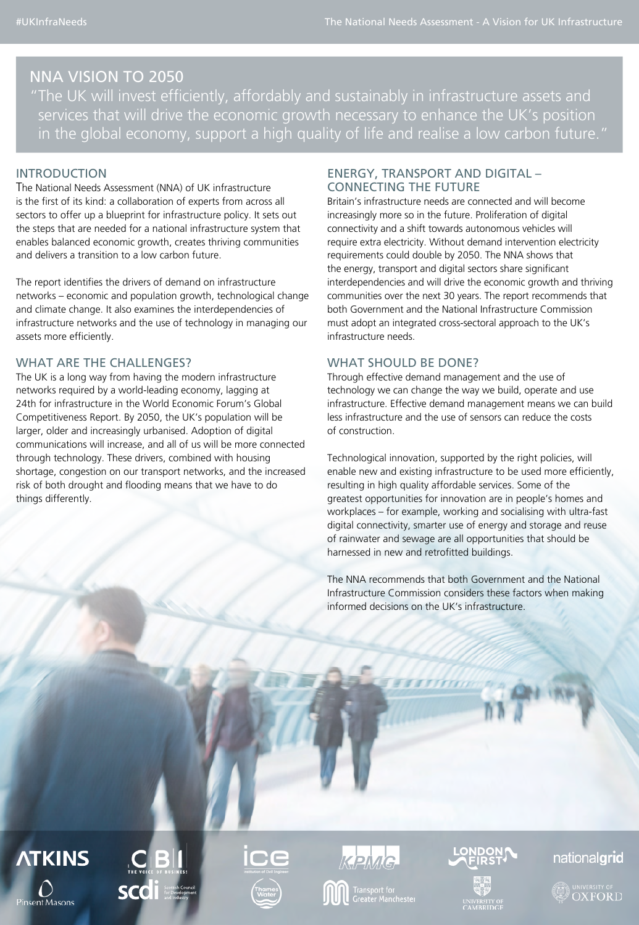# NNA VISION TO 2050

"The UK will invest efficiently, affordably and sustainably in infrastructure assets and services that will drive the economic growth necessary to enhance the UK's position in the global economy, support a high quality of life and realise a low carbon future."

## INTRODUCTION

The National Needs Assessment (NNA) of UK infrastructure is the first of its kind: a collaboration of experts from across all sectors to offer up a blueprint for infrastructure policy. It sets out the steps that are needed for a national infrastructure system that enables balanced economic growth, creates thriving communities and delivers a transition to a low carbon future.

The report identifies the drivers of demand on infrastructure networks – economic and population growth, technological change and climate change. It also examines the interdependencies of infrastructure networks and the use of technology in managing our assets more efficiently.

## WHAT ARE THE CHALLENGES?

The UK is a long way from having the modern infrastructure networks required by a world-leading economy, lagging at 24th for infrastructure in the World Economic Forum's Global Competitiveness Report. By 2050, the UK's population will be larger, older and increasingly urbanised. Adoption of digital communications will increase, and all of us will be more connected through technology. These drivers, combined with housing shortage, congestion on our transport networks, and the increased risk of both drought and flooding means that we have to do things differently.

## ENERGY, TRANSPORT AND DIGITAL – CONNECTING THE FUTURE

Britain's infrastructure needs are connected and will become increasingly more so in the future. Proliferation of digital connectivity and a shift towards autonomous vehicles will require extra electricity. Without demand intervention electricity requirements could double by 2050. The NNA shows that the energy, transport and digital sectors share significant interdependencies and will drive the economic growth and thriving communities over the next 30 years. The report recommends that both Government and the National Infrastructure Commission must adopt an integrated cross-sectoral approach to the UK's infrastructure needs.

## WHAT SHOULD BE DONE?

Through effective demand management and the use of technology we can change the way we build, operate and use infrastructure. Effective demand management means we can build less infrastructure and the use of sensors can reduce the costs of construction.

Technological innovation, supported by the right policies, will enable new and existing infrastructure to be used more efficiently, resulting in high quality affordable services. Some of the greatest opportunities for innovation are in people's homes and workplaces – for example, working and socialising with ultra-fast digital connectivity, smarter use of energy and storage and reuse of rainwater and sewage are all opportunities that should be harnessed in new and retrofitted buildings.

The NNA recommends that both Government and the National Infrastructure Commission considers these factors when making informed decisions on the UK's infrastructure.

**ATKINS Pinsent Masons** 





## nationalgrid